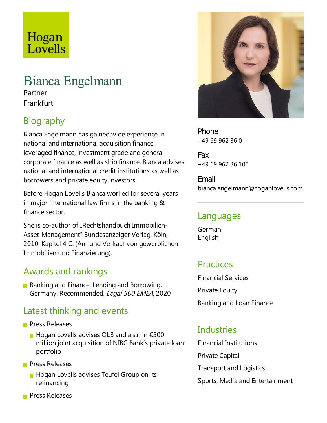# Hogan Lovells

## Bianca Engelmann

Partner Frankfurt

## Biography

Bianca Engelmann has gained wide experience in national and international acquisition finance, leveraged finance, investment grade and general corporate finance as well as ship finance. Bianca advises national and international credit institutions as well as borrowers and private equity investors.

Before Hogan Lovells Bianca worked for several years in major international law firms in the banking & finance sector.

She is co-author of "Rechtshandbuch Immobilien-Asset-Management" Bundesanzeiger Verlag, Köln, 2010, Kapitel 4 C. (An- und Verkauf von gewerblichen Immobilien und Finanzierung).

## Awards and rankings

**Banking and Finance: Lending and Borrowing,** Germany, Recommended, Legal 500 EMEA, 2020

### Latest thinking and events

- **Press Releases** 
	- $\blacksquare$  Hogan Lovells advises OLB and a.s.r. in  $\epsilon$ 500 million joint acquisition of NIBC Bank's private loan portfolio
- **Press Releases** 
	- **Hogan Lovells advises Teufel Group on its** refinancing
- **Press Releases**



Phone +49 69 962 36 0

Fax +49 69 962 36 100

Email bianca.engelmann@hoganlovells.com

#### Languages

German English

## **Practices**

Financial Services **Private Equity** 

Banking and Loan Finance

#### Industries

Financial Institutions Private Capital

**Transport and Logistics** 

Sports, Media and Entertainment